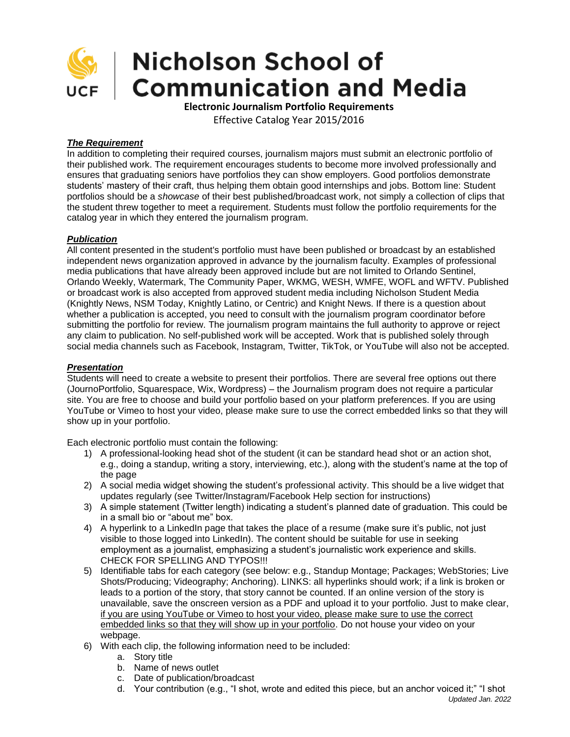

# **Nicholson School of Communication and Media**

**Electronic Journalism Portfolio Requirements** Effective Catalog Year 2015/2016

## *The Requirement*

In addition to completing their required courses, journalism majors must submit an electronic portfolio of their published work. The requirement encourages students to become more involved professionally and ensures that graduating seniors have portfolios they can show employers. Good portfolios demonstrate students' mastery of their craft, thus helping them obtain good internships and jobs. Bottom line: Student portfolios should be a *showcase* of their best published/broadcast work, not simply a collection of clips that the student threw together to meet a requirement. Students must follow the portfolio requirements for the catalog year in which they entered the journalism program.

### *Publication*

All content presented in the student's portfolio must have been published or broadcast by an established independent news organization approved in advance by the journalism faculty. Examples of professional media publications that have already been approved include but are not limited to Orlando Sentinel, Orlando Weekly, Watermark, The Community Paper, WKMG, WESH, WMFE, WOFL and WFTV. Published or broadcast work is also accepted from approved student media including Nicholson Student Media (Knightly News, NSM Today, Knightly Latino, or Centric) and Knight News. If there is a question about whether a publication is accepted, you need to consult with the journalism program coordinator before submitting the portfolio for review. The journalism program maintains the full authority to approve or reject any claim to publication. No self-published work will be accepted. Work that is published solely through social media channels such as Facebook, Instagram, Twitter, TikTok, or YouTube will also not be accepted.

#### *Presentation*

Students will need to create a website to present their portfolios. There are several free options out there (JournoPortfolio, Squarespace, Wix, Wordpress) – the Journalism program does not require a particular site. You are free to choose and build your portfolio based on your platform preferences. If you are using YouTube or Vimeo to host your video, please make sure to use the correct embedded links so that they will show up in your portfolio.

Each electronic portfolio must contain the following:

- 1) A professional-looking head shot of the student (it can be standard head shot or an action shot, e.g., doing a standup, writing a story, interviewing, etc.), along with the student's name at the top of the page
- 2) A social media widget showing the student's professional activity. This should be a live widget that updates regularly (see Twitter/Instagram/Facebook Help section for instructions)
- 3) A simple statement (Twitter length) indicating a student's planned date of graduation. This could be in a small bio or "about me" box.
- 4) A hyperlink to a LinkedIn page that takes the place of a resume (make sure it's public, not just visible to those logged into LinkedIn). The content should be suitable for use in seeking employment as a journalist, emphasizing a student's journalistic work experience and skills. CHECK FOR SPELLING AND TYPOS!!!
- 5) Identifiable tabs for each category (see below: e.g., Standup Montage; Packages; WebStories; Live Shots/Producing; Videography; Anchoring). LINKS: all hyperlinks should work; if a link is broken or leads to a portion of the story, that story cannot be counted. If an online version of the story is unavailable, save the onscreen version as a PDF and upload it to your portfolio. Just to make clear, if you are using YouTube or Vimeo to host your video, please make sure to use the correct embedded links so that they will show up in your portfolio. Do not house your video on your webpage.
- 6) With each clip, the following information need to be included:
	- a. Story title
	- b. Name of news outlet
	- c. Date of publication/broadcast
	- d. Your contribution (e.g., "I shot, wrote and edited this piece, but an anchor voiced it;" "I shot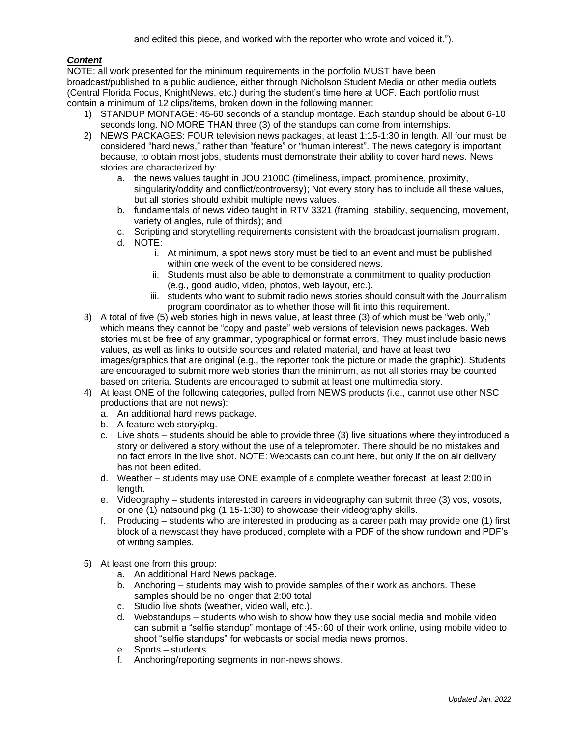## *Content*

NOTE: all work presented for the minimum requirements in the portfolio MUST have been broadcast/published to a public audience, either through Nicholson Student Media or other media outlets (Central Florida Focus, KnightNews, etc.) during the student's time here at UCF. Each portfolio must contain a minimum of 12 clips/items, broken down in the following manner:

- 1) STANDUP MONTAGE: 45-60 seconds of a standup montage. Each standup should be about 6-10 seconds long. NO MORE THAN three (3) of the standups can come from internships.
- 2) NEWS PACKAGES: FOUR television news packages, at least 1:15-1:30 in length. All four must be considered "hard news," rather than "feature" or "human interest". The news category is important because, to obtain most jobs, students must demonstrate their ability to cover hard news. News stories are characterized by:
	- a. the news values taught in JOU 2100C (timeliness, impact, prominence, proximity, singularity/oddity and conflict/controversy); Not every story has to include all these values, but all stories should exhibit multiple news values.
	- b. fundamentals of news video taught in RTV 3321 (framing, stability, sequencing, movement, variety of angles, rule of thirds); and
	- c. Scripting and storytelling requirements consistent with the broadcast journalism program.
	- d. NOTE:
		- i. At minimum, a spot news story must be tied to an event and must be published within one week of the event to be considered news.
		- ii. Students must also be able to demonstrate a commitment to quality production (e.g., good audio, video, photos, web layout, etc.).
		- iii. students who want to submit radio news stories should consult with the Journalism program coordinator as to whether those will fit into this requirement.
- 3) A total of five (5) web stories high in news value, at least three (3) of which must be "web only," which means they cannot be "copy and paste" web versions of television news packages. Web stories must be free of any grammar, typographical or format errors. They must include basic news values, as well as links to outside sources and related material, and have at least two images/graphics that are original (e.g., the reporter took the picture or made the graphic). Students are encouraged to submit more web stories than the minimum, as not all stories may be counted based on criteria. Students are encouraged to submit at least one multimedia story.
- 4) At least ONE of the following categories, pulled from NEWS products (i.e., cannot use other NSC productions that are not news):
	- a. An additional hard news package.
	- b. A feature web story/pkg.
	- c. Live shots students should be able to provide three (3) live situations where they introduced a story or delivered a story without the use of a teleprompter. There should be no mistakes and no fact errors in the live shot. NOTE: Webcasts can count here, but only if the on air delivery has not been edited.
	- d. Weather students may use ONE example of a complete weather forecast, at least 2:00 in length.
	- e. Videography students interested in careers in videography can submit three (3) vos, vosots, or one (1) natsound pkg (1:15-1:30) to showcase their videography skills.
	- f. Producing students who are interested in producing as a career path may provide one (1) first block of a newscast they have produced, complete with a PDF of the show rundown and PDF's of writing samples.
- 5) At least one from this group:
	- a. An additional Hard News package.
	- b. Anchoring students may wish to provide samples of their work as anchors. These samples should be no longer that 2:00 total.
	- c. Studio live shots (weather, video wall, etc.).
	- d. Webstandups students who wish to show how they use social media and mobile video can submit a "selfie standup" montage of :45-:60 of their work online, using mobile video to shoot "selfie standups" for webcasts or social media news promos.
	- e. Sports students
	- f. Anchoring/reporting segments in non-news shows.